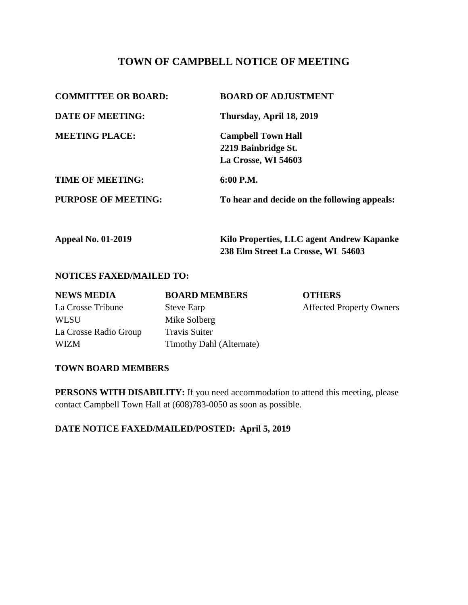# **TOWN OF CAMPBELL NOTICE OF MEETING**

| <b>COMMITTEE OR BOARD:</b> | <b>BOARD OF ADJUSTMENT</b>                   |  |
|----------------------------|----------------------------------------------|--|
| <b>DATE OF MEETING:</b>    | Thursday, April 18, 2019                     |  |
| <b>MEETING PLACE:</b>      | <b>Campbell Town Hall</b>                    |  |
|                            | 2219 Bainbridge St.                          |  |
|                            | La Crosse, WI 54603                          |  |
| <b>TIME OF MEETING:</b>    | 6:00 P.M.                                    |  |
| PURPOSE OF MEETING:        | To hear and decide on the following appeals: |  |
|                            |                                              |  |

| <b>Appeal No. 01-2019</b> | Kilo Properties, LLC agent Andrew Kapanke |
|---------------------------|-------------------------------------------|
|                           | 238 Elm Street La Crosse, WI 54603        |

#### **NOTICES FAXED/MAILED TO:**

| <b>NEWS MEDIA</b>     | <b>BOARD MEMBERS</b>     | <b>OTHERS</b>                   |
|-----------------------|--------------------------|---------------------------------|
| La Crosse Tribune     | <b>Steve Earp</b>        | <b>Affected Property Owners</b> |
| WLSU                  | Mike Solberg             |                                 |
| La Crosse Radio Group | <b>Travis Suiter</b>     |                                 |
| WIZM                  | Timothy Dahl (Alternate) |                                 |

#### **TOWN BOARD MEMBERS**

**PERSONS WITH DISABILITY:** If you need accommodation to attend this meeting, please contact Campbell Town Hall at (608)783-0050 as soon as possible.

## **DATE NOTICE FAXED/MAILED/POSTED: April 5, 2019**